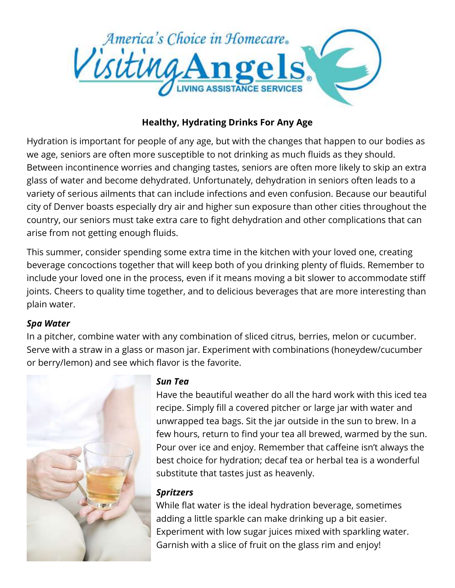

# **Healthy, Hydrating Drinks For Any Age**

Hydration is important for people of any age, but with the changes that happen to our bodies as we age, seniors are often more susceptible to not drinking as much fluids as they should. Between incontinence worries and changing tastes, seniors are often more likely to skip an extra glass of water and become dehydrated. Unfortunately, dehydration in seniors often leads to a variety of serious ailments that can include infections and even confusion. Because our beautiful city of Denver boasts especially dry air and higher sun exposure than other cities throughout the country, our seniors must take extra care to fight dehydration and other complications that can arise from not getting enough fluids.

This summer, consider spending some extra time in the kitchen with your loved one, creating beverage concoctions together that will keep both of you drinking plenty of fluids. Remember to include your loved one in the process, even if it means moving a bit slower to accommodate stiff joints. Cheers to quality time together, and to delicious beverages that are more interesting than plain water.

### *Spa Water*

In a pitcher, combine water with any combination of sliced citrus, berries, melon or cucumber. Serve with a straw in a glass or mason jar. Experiment with combinations (honeydew/cucumber or berry/lemon) and see which flavor is the favorite.



### *Sun Tea*

Have the beautiful weather do all the hard work with this iced tea recipe. Simply fill a covered pitcher or large jar with water and unwrapped tea bags. Sit the jar outside in the sun to brew. In a few hours, return to find your tea all brewed, warmed by the sun. Pour over ice and enjoy. Remember that caffeine isn't always the best choice for hydration; decaf tea or herbal tea is a wonderful substitute that tastes just as heavenly.

# *Spritzers*

While flat water is the ideal hydration beverage, sometimes adding a little sparkle can make drinking up a bit easier. Experiment with low sugar juices mixed with sparkling water. Garnish with a slice of fruit on the glass rim and enjoy!